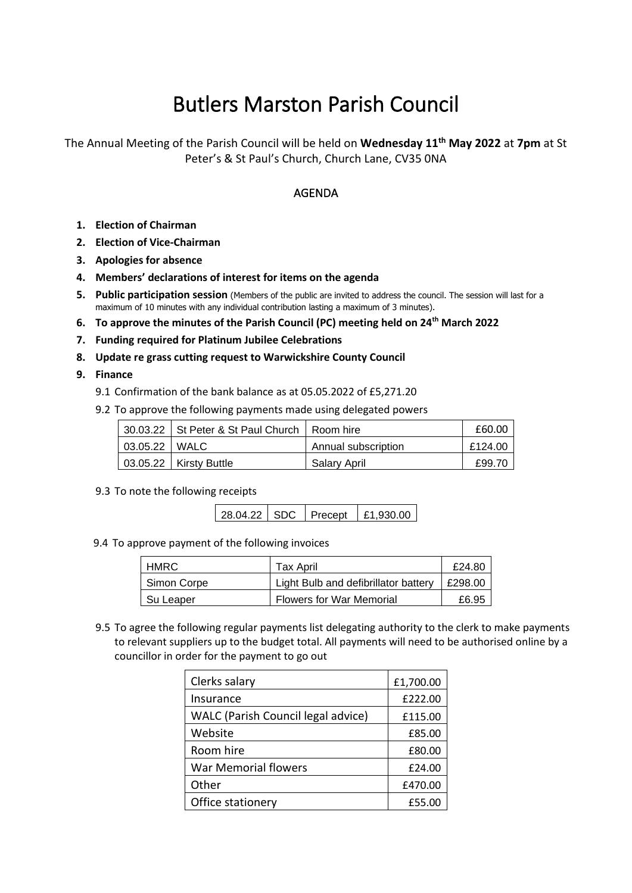# Butlers Marston Parish Council

The Annual Meeting of the Parish Council will be held on **Wednesday 11th May 2022** at **7pm** at St Peter's & St Paul's Church, Church Lane, CV35 0NA

## AGENDA

- **1. Election of Chairman**
- **2. Election of Vice-Chairman**
- **3. Apologies for absence**
- **4. Members' declarations of interest for items on the agenda**
- **5. Public participation session** (Members of the public are invited to address the council. The session will last for a maximum of 10 minutes with any individual contribution lasting a maximum of 3 minutes).
- **6. To approve the minutes of the Parish Council (PC) meeting held on 24th March 2022**
- **7. Funding required for Platinum Jubilee Celebrations**
- **8. Update re grass cutting request to Warwickshire County Council**
- **9. Finance**
	- 9.1 Confirmation of the bank balance as at 05.05.2022 of £5,271.20
	- 9.2 To approve the following payments made using delegated powers

|                 | 30.03.22   St Peter & St Paul Church   Room hire |                     | £60.00  |
|-----------------|--------------------------------------------------|---------------------|---------|
| 03.05.22   WALC |                                                  | Annual subscription | £124.00 |
|                 | $03.05.22$   Kirsty Buttle                       | <b>Salary April</b> | £99.70  |

9.3 To note the following receipts

|  | 28.04.22   SDC   Precept | $\vert$ [£1,930.00] |
|--|--------------------------|---------------------|
|  |                          |                     |

9.4 To approve payment of the following invoices

| HMRC.       | Tax April                            | £24.80         |
|-------------|--------------------------------------|----------------|
| Simon Corpe | Light Bulb and defibrillator battery | $\mid$ £298.00 |
| Su Leaper   | <b>Flowers for War Memorial</b>      | £6.95          |

9.5 To agree the following regular payments list delegating authority to the clerk to make payments to relevant suppliers up to the budget total. All payments will need to be authorised online by a councillor in order for the payment to go out

| Clerks salary                             | £1,700.00 |
|-------------------------------------------|-----------|
| Insurance                                 | £222.00   |
| <b>WALC</b> (Parish Council legal advice) | £115.00   |
| Website                                   | £85.00    |
| Room hire                                 | £80.00    |
| <b>War Memorial flowers</b>               | £24.00    |
| Other                                     | £470.00   |
| Office stationery                         | £55.00    |